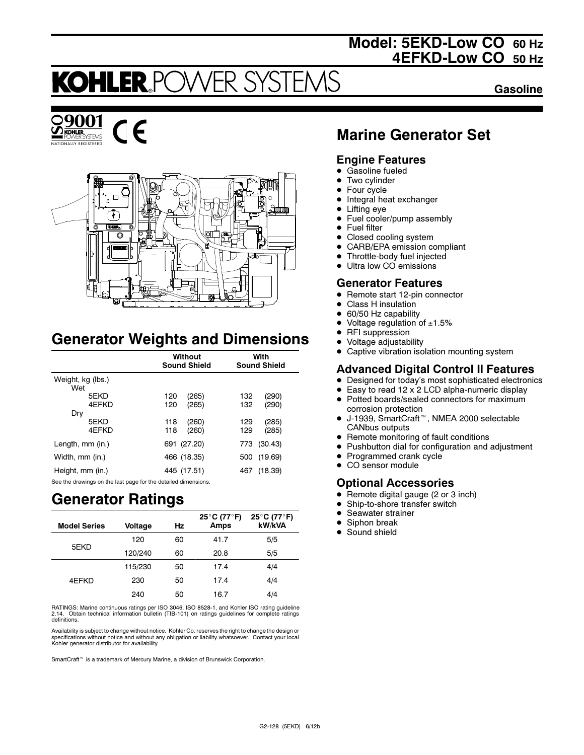## Model: 5EKD-Low CO 60 Hz 4EFKD-Low CO 50 Hz

## **KOHLER PC** FR SYST

Gasoline





# Generator Weights and Dimensions

|                          | Without<br><b>Sound Shield</b> | With<br><b>Sound Shield</b>  |
|--------------------------|--------------------------------|------------------------------|
| Weight, kg (lbs.)<br>Wet |                                |                              |
| 5EKD<br>4FFKD            | 120<br>(265)<br>(265)<br>120   | 132<br>(290)<br>(290)<br>132 |
| Dry<br>5EKD<br>4EFKD     | (260)<br>118<br>(260)<br>118   | (285)<br>129<br>(285)<br>129 |
| Length, mm (in.)         | 691 (27.20)                    | (30.43)<br>773               |
| Width, mm (in.)          | 466 (18.35)                    | (19.69)<br>500               |
| Height, mm (in.)         | 445 (17.51)                    | 467<br>(18.39)               |

See the drawings on the last page for the detailed dimensions.

## Generator Ratings

| <b>Model Series</b> | Voltage | Hz | 25°C (77°F)<br><b>Amps</b> | 25°C (77°F)<br>kW/kVA |
|---------------------|---------|----|----------------------------|-----------------------|
|                     | 120     | 60 | 41.7                       | 5/5                   |
| 5EKD                | 120/240 | 60 | 20.8                       | 5/5                   |
|                     | 115/230 | 50 | 17.4                       | 4/4                   |
| 4EFKD               | 230     | 50 | 17.4                       | 4/4                   |
|                     | 240     | 50 | 16.7                       | 4/4                   |

RATINGS: Marine continuous ratings per ISO 3046, ISO 8528-1, and Kohler ISO rating guideline 2.14. Obtain technical information bulletin (TIB-101) on ratings guidelines for complete ratings definitions.

Availability is subject to change without notice. Kohler Co. reserves the right to change the design or specifications without notice and without any obligation or liability whatsoever. Contact your local Kohler generator distributor for availability.

SmartCraft<sup>™</sup> is a trademark of Mercury Marine, a division of Brunswick Corporation.

## Marine Generator Set

### Engine Features

- $\bullet$ Gasoline fueled
- $\bullet$ Two cylinder
- $\bullet$ Four cycle
- $\bullet$ Integral heat exchanger
- $\bullet$ Lifting eye
- $\bullet$ Fuel cooler/pump assembly
- Fuel filter
- $\bullet$ Closed cooling system
- $\bullet$ CARB/EPA emission compliant
- $\bullet$ Throttle-body fuel injected
- Ultra low CO emissions

### Generator Features

- Remote start 12-pin connector
- -Class H insulation
- $\bullet$ 60/50 Hz capability
- -Voltage regulation of  $±1.5%$
- $\bullet$ RFI suppression
- -Voltage adjustability
- $\bullet$ Captive vibration isolation mounting system

## Advanced Digital Control II Features

- Designed for today's most sophisticated electronics
- $\bullet$  Easy to read 12 x 2 LCD alpha-numeric display ● Potted boards/sealed connectors for maximum
- corrosion protection -J-1939, SmartCraft<sup>™</sup>, NMEA 2000 selectable CANbus outputs
- Remote monitoring of fault conditions
- Pushbutton dial for configuration and adjustment
- Programmed crank cycle
- CO sensor module

## Optional Accessories

- $\bullet$ Remote digital gauge (2 or 3 inch)
- -Ship-to-shore transfer switch
- $\bullet$ Seawater strainer
- $\bullet$ Siphon break
- $\bullet$ Sound shield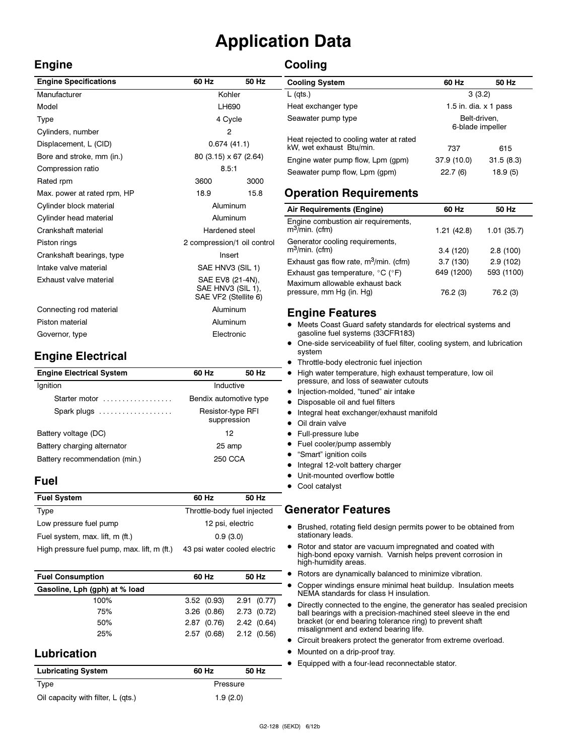# Application Data

## Engine

## **Cooling**

| <b>Engine Specifications</b> | 60 Hz                                                         | 50 Hz |
|------------------------------|---------------------------------------------------------------|-------|
| Manufacturer                 | Kohler                                                        |       |
| Model                        | LH690                                                         |       |
| Type                         | 4 Cycle                                                       |       |
| Cylinders, number            | 2                                                             |       |
| Displacement, L (CID)        | 0.674(41.1)                                                   |       |
| Bore and stroke, mm (in.)    | 80 (3.15) x 67 (2.64)                                         |       |
| Compression ratio            | 8.5:1                                                         |       |
| Rated rpm                    | 3600                                                          | 3000  |
| Max. power at rated rpm, HP  | 18.9                                                          | 15.8  |
| Cylinder block material      | Aluminum                                                      |       |
| Cylinder head material       | Aluminum                                                      |       |
| Crankshaft material          | Hardened steel                                                |       |
| Piston rings                 | 2 compression/1 oil control                                   |       |
| Crankshaft bearings, type    | Insert                                                        |       |
| Intake valve material        | SAE HNV3 (SIL 1)                                              |       |
| Exhaust valve material       | SAE EV8 (21-4N),<br>SAE HNV3 (SIL 1),<br>SAE VF2 (Stellite 6) |       |
| Connecting rod material      | Aluminum                                                      |       |
| Piston material              | Aluminum                                                      |       |
| Governor, type               | Electronic                                                    |       |

## Engine Electrical

| <b>Engine Electrical System</b> | 60 Hz                            | 50 Hz   |
|---------------------------------|----------------------------------|---------|
| Ignition                        | Inductive                        |         |
| Starter motor                   | Bendix automotive type           |         |
| Spark plugs                     | Resistor-type RFI<br>suppression |         |
| Battery voltage (DC)            |                                  | 12      |
| Battery charging alternator     | 25 amp                           |         |
| Battery recommendation (min.)   |                                  | 250 CCA |

### Fuel

| <b>Fuel System</b>                          | 60 Hz                        | 50 Hz |
|---------------------------------------------|------------------------------|-------|
| Type                                        | Throttle-body fuel injected  |       |
| Low pressure fuel pump                      | 12 psi, electric             |       |
| Fuel system, max. lift, m (ft.)             | 0.9(3.0)                     |       |
| High pressure fuel pump, max. lift, m (ft.) | 43 psi water cooled electric |       |

| <b>Fuel Consumption</b>       | 60 Hz      | 50 Hz      |
|-------------------------------|------------|------------|
| Gasoline, Lph (gph) at % load |            |            |
| 100%                          | 3.52(0.93) | 2.91(0.77) |
| 75%                           | 3.26(0.86) | 2.73(0.72) |
| 50%                           | 2.87(0.76) | 2.42(0.64) |
| 25%                           | 2.57(0.68) | 2.12(0.56) |

## Lubrication

| <b>Lubricating System</b>          | 60 Hz    | 50 Hz |  |
|------------------------------------|----------|-------|--|
| Type                               | Pressure |       |  |
| Oil capacity with filter, L (qts.) | 1.9(2.0) |       |  |

| <b>Cooling System</b>                                               | 60 Hz                            | 50 Hz     |
|---------------------------------------------------------------------|----------------------------------|-----------|
| $L$ (qts.)                                                          | 3(3.2)                           |           |
| Heat exchanger type                                                 | 1.5 in. dia. $\times$ 1 pass     |           |
| Seawater pump type                                                  | Belt-driven.<br>6-blade impeller |           |
| Heat rejected to cooling water at rated<br>kW, wet exhaust Btu/min. | 737                              | 615       |
| Engine water pump flow, Lpm (gpm)                                   | 37.9 (10.0)                      | 31.5(8.3) |
| Seawater pump flow, Lpm (gpm)                                       | 22.7(6)                          | 18.9 (5)  |

## Operation Requirements

| Air Requirements (Engine)                                  | 60 Hz      | 50 Hz      |
|------------------------------------------------------------|------------|------------|
| Engine combustion air requirements,<br>$m^3$ /min. (cfm)   | 1.21(42.8) | 1.01(35.7) |
| Generator cooling requirements,<br>$m^3$ /min. (cfm)       | 3.4(120)   | 2.8(100)   |
| Exhaust gas flow rate, m <sup>3</sup> /min. (cfm)          | 3.7(130)   | 2.9(102)   |
| Exhaust gas temperature, °C (°F)                           | 649 (1200) | 593 (1100) |
| Maximum allowable exhaust back<br>pressure, mm Hg (in. Hg) | 76.2 (3)   | 76.2 (3)   |

### Engine Features

- Meets Coast Guard safety standards for electrical systems and gasoline fuel systems (33CFR183)
- $\bullet$  One-side serviceability of fuel filter, cooling system, and lubrication system
- $\bullet$ Throttle-body electronic fuel injection
- High water temperature, high exhaust temperature, low oil pressure, and loss of seawater cutouts
- · Injection-molded, "tuned" air intake
- Disposable oil and fuel filters
- $\bullet$  Integral heat exchanger/exhaust manifold
- Oil drain valve
- **•** Full-pressure lube
- Fuel cooler/pump assembly
- "Smart" ignition coils
- Integral 12-volt battery charger
- $\bullet$  Unit-mounted overflow bottle
- Cool catalyst

## Generator Features

- Brushed, rotating field design permits power to be obtained from stationary leads.
- Rotor and stator are vacuum impregnated and coated with high-bond epoxy varnish. Varnish helps prevent corrosion in high-humidity areas.
- Rotors are dynamically balanced to minimize vibration.
- $\bullet$  Copper windings ensure minimal heat buildup. Insulation meets NEMA standards for class H insulation.
- Directly connected to the engine, the generator has sealed precision ball bearings with a precision-machined steel sleeve in the end bracket (or end bearing tolerance ring) to prevent shaft misalignment and extend bearing life.
- Circuit breakers protect the generator from extreme overload.
- Mounted on a drip-proof tray.
- $\bullet$ Equipped with a four-lead reconnectable stator.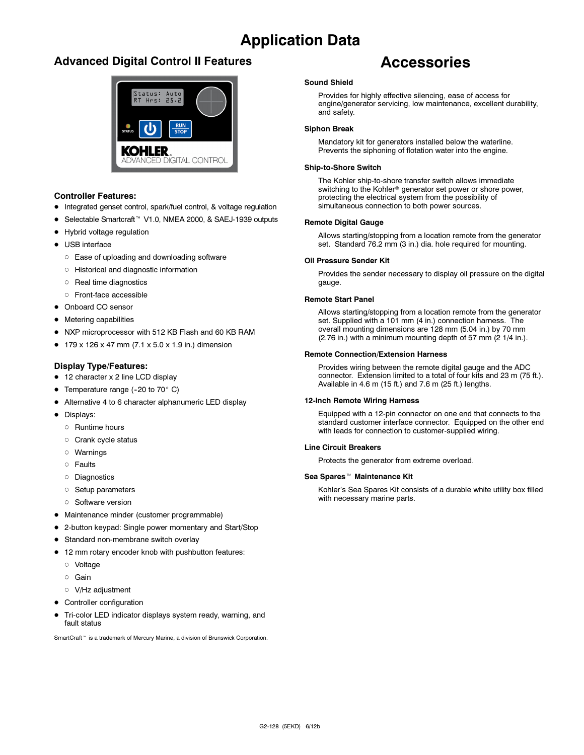## Application Data

## Advanced Digital Control II Features



### Controller Features:

- Integrated genset control, spark/fuel control, & voltage regulation
- Selectable Smartcraft<sup>™</sup> V1.0, NMEA 2000, & SAEJ-1939 outputs
- Hybrid voltage regulation
- USB interface
	- Ease of uploading and downloading software
	- Historical and diagnostic information
	- o Real time diagnostics
	- Front-face accessible
- Onboard CO sensor
- **•** Metering capabilities
- NXP microprocessor with 512 KB Flash and 60 KB RAM
- $179 \times 126 \times 47$  mm (7.1  $\times$  5.0  $\times$  1.9 in.) dimension

### Display Type/Features:

- 12 character x 2 line LCD display
- Temperature range  $(-20 \text{ to } 70^{\circ} \text{ C})$
- Alternative 4 to 6 character alphanumeric LED display
- · Displays:
	- o Runtime hours
	- o Crank cycle status
	- Warnings
	- o Faults
	- Diagnostics
	- **Setup parameters**
	- o Software version
- Maintenance minder (customer programmable)
- 2-button keypad: Single power momentary and Start/Stop
- **Standard non-membrane switch overlay**
- 12 mm rotary encoder knob with pushbutton features:
	- Voltage
	- Gain
	- V/Hz adjustment
- Controller configuration
- $\bullet$  Tri-color LED indicator displays system ready, warning, and fault status

SmartCraft<sup>™</sup> is a trademark of Mercury Marine, a division of Brunswick Corporation.

## Accessories

### Sound Shield

Provides for highly effective silencing, ease of access for engine/generator servicing, low maintenance, excellent durability, and safety.

### Siphon Break

Mandatory kit for generators installed below the waterline. Prevents the siphoning of flotation water into the engine.

### Ship-to-Shore Switch

The Kohler ship-to-shore transfer switch allows immediate switching to the Kohler<sup>®</sup> generator set power or shore power, protecting the electrical system from the possibility of simultaneous connection to both power sources.

#### Remote Digital Gauge

Allows starting/stopping from a location remote from the generator set. Standard 76.2 mm (3 in.) dia. hole required for mounting.

#### Oil Pressure Sender Kit

Provides the sender necessary to display oil pressure on the digital gauge.

#### Remote Start Panel

Allows starting/stopping from a location remote from the generator set. Supplied with a 101 mm (4 in.) connection harness. The overall mounting dimensions are 128 mm (5.04 in.) by 70 mm  $(2.76$  in.) with a minimum mounting depth of 57 mm  $(2.1/4$  in.).

#### Remote Connection/Extension Harness

Provides wiring between the remote digital gauge and the ADC connector. Extension limited to a total of four kits and 23 m (75 ft.). Available in 4.6 m (15 ft.) and 7.6 m (25 ft.) lengths.

### 12-Inch Remote Wiring Harness

Equipped with a 12-pin connector on one end that connects to the standard customer interface connector. Equipped on the other end with leads for connection to customer-supplied wiring.

### Line Circuit Breakers

Protects the generator from extreme overload.

#### Sea Spares<sup>™</sup> Maintenance Kit

Kohler's Sea Spares Kit consists of a durable white utility box filled with necessary marine parts.